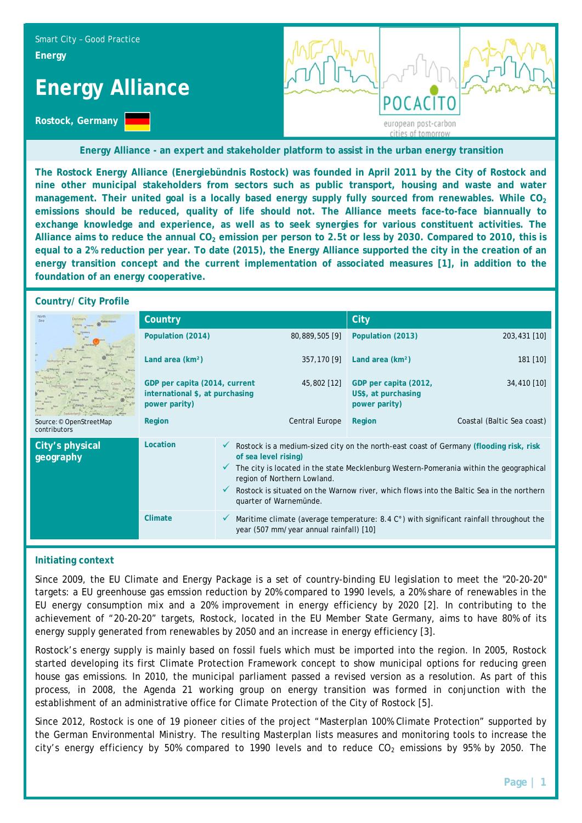

**Energy Alliance - an expert and stakeholder platform to assist in the urban energy transition**

**The Rostock Energy Alliance (Energiebündnis Rostock) was founded in April 2011 by the City of Rostock and nine other municipal stakeholders from sectors such as public transport, housing and waste and water**  management. Their united goal is a locally based energy supply fully sourced from renewables. While CO<sub>2</sub> **emissions should be reduced, quality of life should not. The Alliance meets face-to-face biannually to exchange knowledge and experience, as well as to seek synergies for various constituent activities. The**  Alliance aims to reduce the annual CO<sub>2</sub> emission per person to 2.5t or less by 2030. Compared to 2010, this is **equal to a 2% reduction per year. To date (2015), the Energy Alliance supported the city in the creation of an energy transition concept and the current implementation of associated measures [1], in addition to the foundation of an energy cooperative.** 

### **Country/ City Profile**

|                                         | Country                                                                           |                                                                                                                                                                                                                                                                                                                                                               |                | City                                                          |                            |
|-----------------------------------------|-----------------------------------------------------------------------------------|---------------------------------------------------------------------------------------------------------------------------------------------------------------------------------------------------------------------------------------------------------------------------------------------------------------------------------------------------------------|----------------|---------------------------------------------------------------|----------------------------|
| Source: © OpenStreetMap<br>contributors | Population (2014)                                                                 |                                                                                                                                                                                                                                                                                                                                                               | 80,889,505 [9] | Population (2013)                                             | 203,431 [10]               |
|                                         | Land area (km <sup>2</sup> )                                                      |                                                                                                                                                                                                                                                                                                                                                               | 357,170 [9]    | Land area (km <sup>2</sup> )                                  | $181$ [10]                 |
|                                         | GDP per capita (2014, current<br>international \$, at purchasing<br>power parity) |                                                                                                                                                                                                                                                                                                                                                               | 45,802 [12]    | GDP per capita (2012,<br>US\$, at purchasing<br>power parity) | 34,410 [10]                |
|                                         | Region                                                                            |                                                                                                                                                                                                                                                                                                                                                               | Central Europe | Region                                                        | Coastal (Baltic Sea coast) |
| City's physical<br>geography            | Location                                                                          | Rostock is a medium-sized city on the north-east coast of Germany (flooding risk, risk<br>of sea level rising)<br>The city is located in the state Mecklenburg Western-Pomerania within the geographical<br>region of Northern Lowland.<br>Rostock is situated on the Warnow river, which flows into the Baltic Sea in the northern<br>quarter of Warnemünde. |                |                                                               |                            |
|                                         | Climate                                                                           | Maritime climate (average temperature: $8.4\degree$ ) with significant rainfall throughout the<br>year (507 mm/year annual rainfall) [10]                                                                                                                                                                                                                     |                |                                                               |                            |

### **Initiating context**

Since 2009, the EU Climate and Energy Package is a set of country-binding EU legislation to meet the "20-20-20" targets: a EU greenhouse gas emssion reduction by 20% compared to 1990 levels, a 20% share of renewables in the EU energy consumption mix and a 20% improvement in energy efficiency by 2020 [2]. In contributing to the achievement of "20-20-20" targets, Rostock, located in the EU Member State Germany, aims to have 80% of its energy supply generated from renewables by 2050 and an increase in energy efficiency [3].

Rostock's energy supply is mainly based on fossil fuels which must be imported into the region. In 2005, Rostock started developing its first Climate Protection Framework concept to show municipal options for reducing green house gas emissions. In 2010, the municipal parliament passed a revised version as a resolution. As part of this process, in 2008, the Agenda 21 working group on energy transition was formed in conjunction with the establishment of an administrative office for Climate Protection of the City of Rostock [5].

Since 2012, Rostock is one of 19 pioneer cities of the project "Masterplan 100% Climate Protection" supported by the German Environmental Ministry. The resulting Masterplan lists measures and monitoring tools to increase the city's energy efficiency by 50% compared to 1990 levels and to reduce  $CO<sub>2</sub>$  emissions by 95% by 2050. The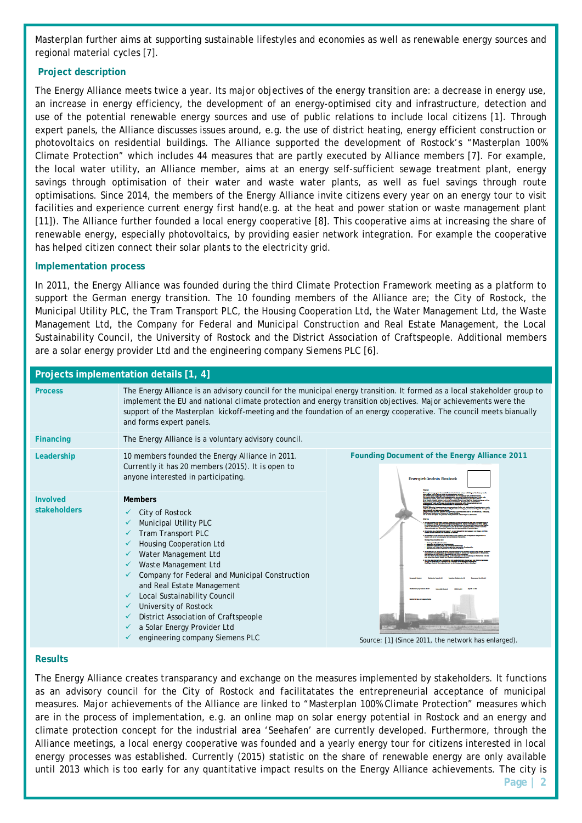Masterplan further aims at supporting sustainable lifestyles and economies as well as renewable energy sources and regional material cycles [7].

# **Project description**

The Energy Alliance meets twice a year. Its major objectives of the energy transition are: a decrease in energy use, an increase in energy efficiency, the development of an energy-optimised city and infrastructure, detection and use of the potential renewable energy sources and use of public relations to include local citizens [1]. Through expert panels, the Alliance discusses issues around, e.g. the use of district heating, energy efficient construction or photovoltaics on residential buildings. The Alliance supported the development of Rostock's "Masterplan 100% Climate Protection" which includes 44 measures that are partly executed by Alliance members [7]. For example, the local water utility, an Alliance member, aims at an energy self-sufficient sewage treatment plant, energy savings through optimisation of their water and waste water plants, as well as fuel savings through route optimisations. Since 2014, the members of the Energy Alliance invite citizens every year on an energy tour to visit facilities and experience current energy first hand(e.g. at the heat and power station or waste management plant [11]). The Alliance further founded a local energy cooperative [8]. This cooperative aims at increasing the share of renewable energy, especially photovoltaics, by providing easier network integration. For example the cooperative has helped citizen connect their solar plants to the electricity grid.

# **Implementation process**

In 2011, the Energy Alliance was founded during the third Climate Protection Framework meeting as a platform to support the German energy transition. The 10 founding members of the Alliance are; the City of Rostock, the Municipal Utility PLC, the Tram Transport PLC, the Housing Cooperation Ltd, the Water Management Ltd, the Waste Management Ltd, the Company for Federal and Municipal Construction and Real Estate Management, the Local Sustainability Council, the University of Rostock and the District Association of Craftspeople. Additional members are a solar energy provider Ltd and the engineering company Siemens PLC [6].

| Projects implementation details [1, 4] |                                                                                                                                                                                                                                                                                                                                                                                                                                 |                                                                                |  |  |  |  |
|----------------------------------------|---------------------------------------------------------------------------------------------------------------------------------------------------------------------------------------------------------------------------------------------------------------------------------------------------------------------------------------------------------------------------------------------------------------------------------|--------------------------------------------------------------------------------|--|--|--|--|
| <b>Process</b>                         | The Energy Alliance is an advisory council for the municipal energy transition. It formed as a local stakeholder group to<br>implement the EU and national climate protection and energy transition objectives. Major achievements were the<br>support of the Masterplan kickoff-meeting and the foundation of an energy cooperative. The council meets bianually<br>and forms expert panels.                                   |                                                                                |  |  |  |  |
| <b>Financing</b>                       | The Energy Alliance is a voluntary advisory council.                                                                                                                                                                                                                                                                                                                                                                            |                                                                                |  |  |  |  |
| Leadership                             | 10 members founded the Energy Alliance in 2011.<br>Currently it has 20 members (2015). It is open to<br>anyone interested in participating.                                                                                                                                                                                                                                                                                     | Founding Document of the Energy Alliance 2011<br><b>Energiebündnis Rostock</b> |  |  |  |  |
| Involved<br>stakeholders               | <b>Members</b><br>City of Rostock<br><b>Municipal Utility PLC</b><br>Tram Transport PLC<br>Housing Cooperation Ltd<br>Water Management Ltd<br>Waste Management Ltd<br>Company for Federal and Municipal Construction<br>and Real Estate Management<br>Local Sustainability Council<br>✓<br>University of Rostock<br>✓<br>District Association of Craftspeople<br>a Solar Energy Provider Ltd<br>engineering company Siemens PLC | Source: [1] (Since 2011, the network has enlarged).                            |  |  |  |  |

### **Results**

The Energy Alliance creates transparancy and exchange on the measures implemented by stakeholders. It functions as an advisory council for the City of Rostock and facilitatates the entrepreneurial acceptance of municipal measures. Major achievements of the Alliance are linked to "Masterplan 100% Climate Protection" measures which are in the process of implementation, e.g. an online map on solar energy potential in Rostock and an energy and climate protection concept for the industrial area 'Seehafen' are currently developed. Furthermore, through the Alliance meetings, a local energy cooperative was founded and a yearly energy tour for citizens interested in local energy processes was established. Currently (2015) statistic on the share of renewable energy are only available until 2013 which is too early for any quantitative impact results on the Energy Alliance achievements. The city is